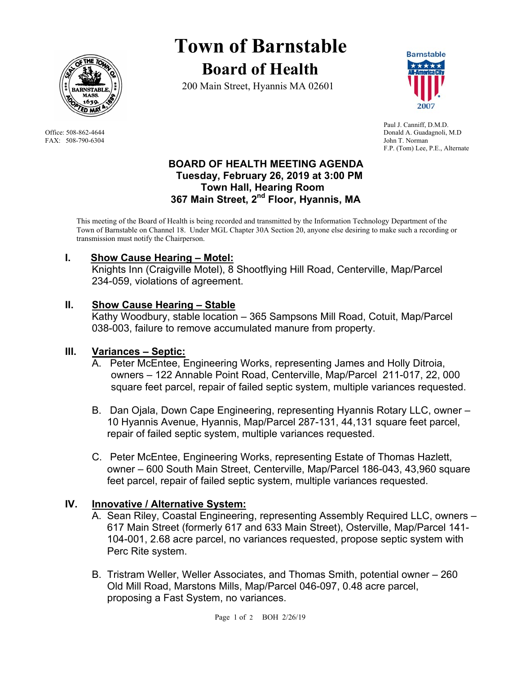

FAX: 508-790-6304 John T. Norman

# **Town of Barnstable Board of Health**

200 Main Street, Hyannis MA 02601



 Paul J. Canniff, D.M.D. Office: 508-862-4644 Donald A. Guadagnoli, M.D F.P. (Tom) Lee, P.E., Alternate

#### **BOARD OF HEALTH MEETING AGENDA Tuesday, February 26, 2019 at 3:00 PM Town Hall, Hearing Room 367 Main Street, 2nd Floor, Hyannis, MA**

This meeting of the Board of Health is being recorded and transmitted by the Information Technology Department of the Town of Barnstable on Channel 18. Under MGL Chapter 30A Section 20, anyone else desiring to make such a recording or transmission must notify the Chairperson.

# **I. Show Cause Hearing – Motel:**

Knights Inn (Craigville Motel), 8 Shootflying Hill Road, Centerville, Map/Parcel 234-059, violations of agreement.

# **II. Show Cause Hearing – Stable**

 Kathy Woodbury, stable location – 365 Sampsons Mill Road, Cotuit, Map/Parcel 038-003, failure to remove accumulated manure from property.

# **III. Variances – Septic:**

- A. Peter McEntee, Engineering Works, representing James and Holly Ditroia, owners – 122 Annable Point Road, Centerville, Map/Parcel 211-017, 22, 000 square feet parcel, repair of failed septic system, multiple variances requested.
- B. Dan Ojala, Down Cape Engineering, representing Hyannis Rotary LLC, owner 10 Hyannis Avenue, Hyannis, Map/Parcel 287-131, 44,131 square feet parcel, repair of failed septic system, multiple variances requested.
- C. Peter McEntee, Engineering Works, representing Estate of Thomas Hazlett, owner – 600 South Main Street, Centerville, Map/Parcel 186-043, 43,960 square feet parcel, repair of failed septic system, multiple variances requested.

# **IV. Innovative / Alternative System:**

- A. Sean Riley, Coastal Engineering, representing Assembly Required LLC, owners 617 Main Street (formerly 617 and 633 Main Street), Osterville, Map/Parcel 141- 104-001, 2.68 acre parcel, no variances requested, propose septic system with Perc Rite system.
- B. Tristram Weller, Weller Associates, and Thomas Smith, potential owner 260 Old Mill Road, Marstons Mills, Map/Parcel 046-097, 0.48 acre parcel, proposing a Fast System, no variances.